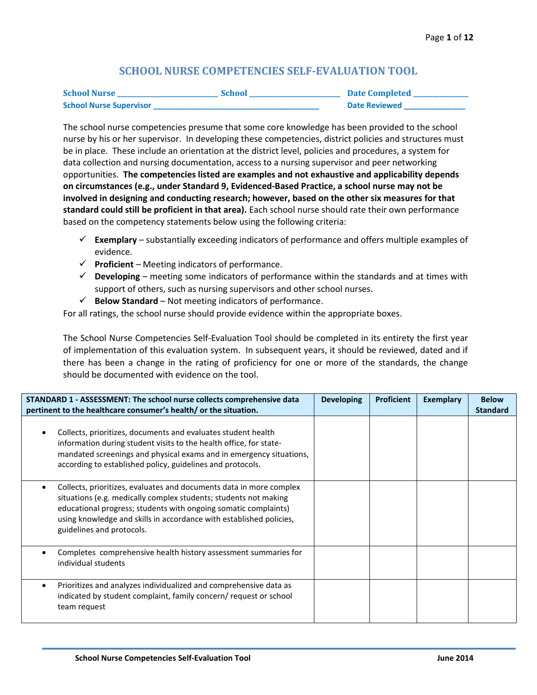## **SCHOOL NURSE COMPETENCIES SELF-EVALUATION TOOL**

| <b>School Nurse</b>            | <b>School</b> | <b>Date Completed</b> |
|--------------------------------|---------------|-----------------------|
| <b>School Nurse Supervisor</b> |               | <b>Date Reviewed</b>  |

The school nurse competencies presume that some core knowledge has been provided to the school nurse by his or her supervisor. In developing these competencies, district policies and structures must be in place. These include an orientation at the district level, policies and procedures, a system for data collection and nursing documentation, access to a nursing supervisor and peer networking opportunities. **The competencies listed are examples and not exhaustive and applicability depends on circumstances (e.g., under Standard 9, Evidenced-Based Practice, a school nurse may not be involved in designing and conducting research; however, based on the other six measures for that standard could still be proficient in that area).** Each school nurse should rate their own performance based on the competency statements below using the following criteria:

- $\checkmark$  **Exemplary** substantially exceeding indicators of performance and offers multiple examples of evidence.
- $\checkmark$  Proficient Meeting indicators of performance.
- $\checkmark$  **Developing** meeting some indicators of performance within the standards and at times with support of others, such as nursing supervisors and other school nurses.
- $\checkmark$  **Below Standard** Not meeting indicators of performance.

For all ratings, the school nurse should provide evidence within the appropriate boxes.

The School Nurse Competencies Self-Evaluation Tool should be completed in its entirety the first year of implementation of this evaluation system. In subsequent years, it should be reviewed, dated and if there has been a change in the rating of proficiency for one or more of the standards, the change should be documented with evidence on the tool.

| STANDARD 1 - ASSESSMENT: The school nurse collects comprehensive data                                                                                                                                                                                                                                          | <b>Developing</b> | <b>Proficient</b> | <b>Exemplary</b> | <b>Below</b>    |
|----------------------------------------------------------------------------------------------------------------------------------------------------------------------------------------------------------------------------------------------------------------------------------------------------------------|-------------------|-------------------|------------------|-----------------|
| pertinent to the healthcare consumer's health/ or the situation.                                                                                                                                                                                                                                               |                   |                   |                  | <b>Standard</b> |
| Collects, prioritizes, documents and evaluates student health<br>information during student visits to the health office, for state-<br>mandated screenings and physical exams and in emergency situations,<br>according to established policy, guidelines and protocols.                                       |                   |                   |                  |                 |
| Collects, prioritizes, evaluates and documents data in more complex<br>situations (e.g. medically complex students; students not making<br>educational progress; students with ongoing somatic complaints)<br>using knowledge and skills in accordance with established policies,<br>guidelines and protocols. |                   |                   |                  |                 |
| Completes comprehensive health history assessment summaries for<br>individual students                                                                                                                                                                                                                         |                   |                   |                  |                 |
| Prioritizes and analyzes individualized and comprehensive data as<br>indicated by student complaint, family concern/ request or school<br>team request                                                                                                                                                         |                   |                   |                  |                 |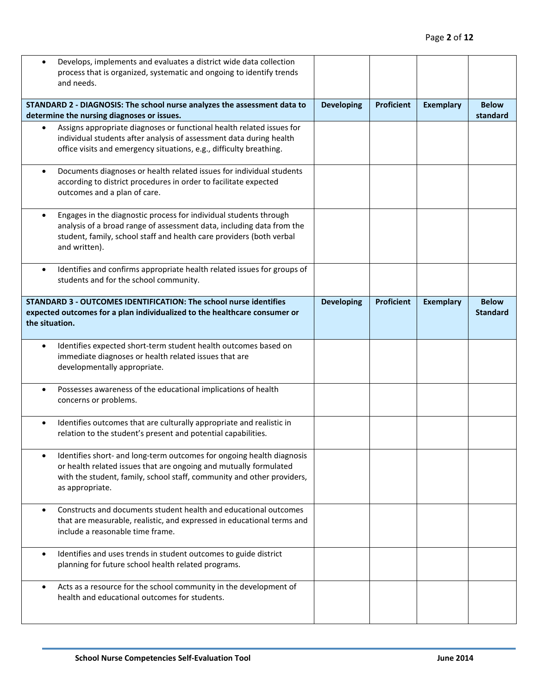| Develops, implements and evaluates a district wide data collection<br>process that is organized, systematic and ongoing to identify trends<br>and needs.                                                                                         |                   |                   |                  |                                 |
|--------------------------------------------------------------------------------------------------------------------------------------------------------------------------------------------------------------------------------------------------|-------------------|-------------------|------------------|---------------------------------|
| STANDARD 2 - DIAGNOSIS: The school nurse analyzes the assessment data to<br>determine the nursing diagnoses or issues.                                                                                                                           | <b>Developing</b> | <b>Proficient</b> | <b>Exemplary</b> | <b>Below</b><br>standard        |
| Assigns appropriate diagnoses or functional health related issues for<br>individual students after analysis of assessment data during health<br>office visits and emergency situations, e.g., difficulty breathing.                              |                   |                   |                  |                                 |
| Documents diagnoses or health related issues for individual students<br>$\bullet$<br>according to district procedures in order to facilitate expected<br>outcomes and a plan of care.                                                            |                   |                   |                  |                                 |
| Engages in the diagnostic process for individual students through<br>$\bullet$<br>analysis of a broad range of assessment data, including data from the<br>student, family, school staff and health care providers (both verbal<br>and written). |                   |                   |                  |                                 |
| Identifies and confirms appropriate health related issues for groups of<br>$\bullet$<br>students and for the school community.                                                                                                                   |                   |                   |                  |                                 |
| STANDARD 3 - OUTCOMES IDENTIFICATION: The school nurse identifies<br>expected outcomes for a plan individualized to the healthcare consumer or<br>the situation.                                                                                 | <b>Developing</b> | <b>Proficient</b> | <b>Exemplary</b> | <b>Below</b><br><b>Standard</b> |
| Identifies expected short-term student health outcomes based on<br>$\bullet$<br>immediate diagnoses or health related issues that are<br>developmentally appropriate.                                                                            |                   |                   |                  |                                 |
| Possesses awareness of the educational implications of health<br>$\bullet$<br>concerns or problems.                                                                                                                                              |                   |                   |                  |                                 |
| Identifies outcomes that are culturally appropriate and realistic in<br>$\bullet$<br>relation to the student's present and potential capabilities.                                                                                               |                   |                   |                  |                                 |
| Identifies short- and long-term outcomes for ongoing health diagnosis<br>or health related issues that are ongoing and mutually formulated<br>with the student, family, school staff, community and other providers,<br>as appropriate.          |                   |                   |                  |                                 |
| Constructs and documents student health and educational outcomes<br>٠<br>that are measurable, realistic, and expressed in educational terms and<br>include a reasonable time frame.                                                              |                   |                   |                  |                                 |
| Identifies and uses trends in student outcomes to guide district<br>$\bullet$<br>planning for future school health related programs.                                                                                                             |                   |                   |                  |                                 |
| Acts as a resource for the school community in the development of<br>health and educational outcomes for students.                                                                                                                               |                   |                   |                  |                                 |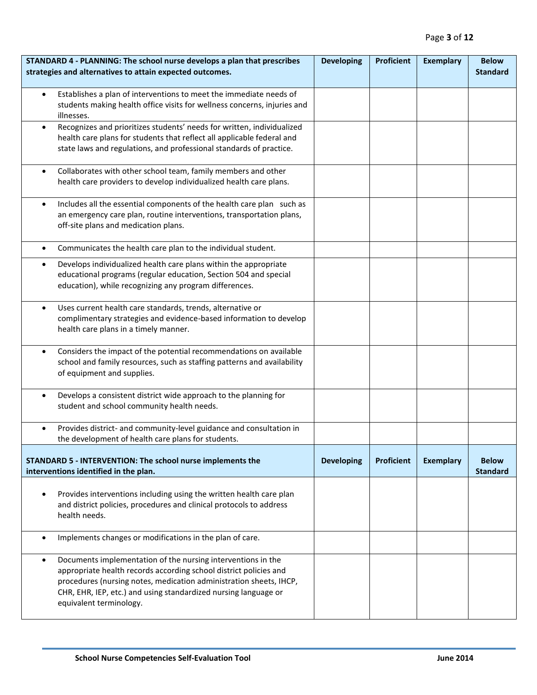| STANDARD 4 - PLANNING: The school nurse develops a plan that prescribes<br>strategies and alternatives to attain expected outcomes.                                                                                                                                                                                | <b>Developing</b> | <b>Proficient</b> | <b>Exemplary</b> | <b>Below</b><br><b>Standard</b> |
|--------------------------------------------------------------------------------------------------------------------------------------------------------------------------------------------------------------------------------------------------------------------------------------------------------------------|-------------------|-------------------|------------------|---------------------------------|
| Establishes a plan of interventions to meet the immediate needs of<br>$\bullet$<br>students making health office visits for wellness concerns, injuries and<br>illnesses.                                                                                                                                          |                   |                   |                  |                                 |
| Recognizes and prioritizes students' needs for written, individualized<br>$\bullet$<br>health care plans for students that reflect all applicable federal and<br>state laws and regulations, and professional standards of practice.                                                                               |                   |                   |                  |                                 |
| Collaborates with other school team, family members and other<br>$\bullet$<br>health care providers to develop individualized health care plans.                                                                                                                                                                   |                   |                   |                  |                                 |
| Includes all the essential components of the health care plan such as<br>$\bullet$<br>an emergency care plan, routine interventions, transportation plans,<br>off-site plans and medication plans.                                                                                                                 |                   |                   |                  |                                 |
| Communicates the health care plan to the individual student.<br>$\bullet$                                                                                                                                                                                                                                          |                   |                   |                  |                                 |
| Develops individualized health care plans within the appropriate<br>$\bullet$<br>educational programs (regular education, Section 504 and special<br>education), while recognizing any program differences.                                                                                                        |                   |                   |                  |                                 |
| Uses current health care standards, trends, alternative or<br>$\bullet$<br>complimentary strategies and evidence-based information to develop<br>health care plans in a timely manner.                                                                                                                             |                   |                   |                  |                                 |
| Considers the impact of the potential recommendations on available<br>$\bullet$<br>school and family resources, such as staffing patterns and availability<br>of equipment and supplies.                                                                                                                           |                   |                   |                  |                                 |
| Develops a consistent district wide approach to the planning for<br>$\bullet$<br>student and school community health needs.                                                                                                                                                                                        |                   |                   |                  |                                 |
| Provides district- and community-level guidance and consultation in<br>the development of health care plans for students.                                                                                                                                                                                          |                   |                   |                  |                                 |
| STANDARD 5 - INTERVENTION: The school nurse implements the<br>interventions identified in the plan.                                                                                                                                                                                                                | <b>Developing</b> | <b>Proficient</b> | <b>Exemplary</b> | <b>Below</b><br><b>Standard</b> |
| Provides interventions including using the written health care plan<br>$\bullet$<br>and district policies, procedures and clinical protocols to address<br>health needs.                                                                                                                                           |                   |                   |                  |                                 |
| Implements changes or modifications in the plan of care.<br>$\bullet$                                                                                                                                                                                                                                              |                   |                   |                  |                                 |
| Documents implementation of the nursing interventions in the<br>$\bullet$<br>appropriate health records according school district policies and<br>procedures (nursing notes, medication administration sheets, IHCP,<br>CHR, EHR, IEP, etc.) and using standardized nursing language or<br>equivalent terminology. |                   |                   |                  |                                 |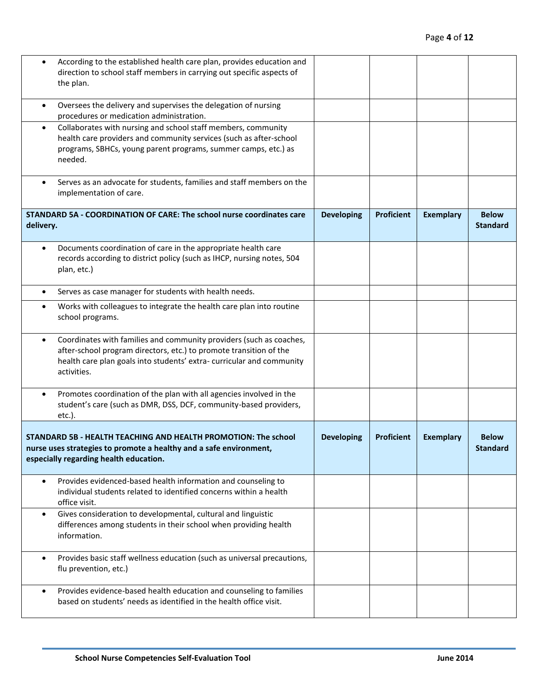| According to the established health care plan, provides education and<br>direction to school staff members in carrying out specific aspects of<br>the plan.                                                                                   |                   |                   |                  |                                 |
|-----------------------------------------------------------------------------------------------------------------------------------------------------------------------------------------------------------------------------------------------|-------------------|-------------------|------------------|---------------------------------|
| Oversees the delivery and supervises the delegation of nursing<br>$\bullet$<br>procedures or medication administration.                                                                                                                       |                   |                   |                  |                                 |
| Collaborates with nursing and school staff members, community<br>$\bullet$<br>health care providers and community services (such as after-school<br>programs, SBHCs, young parent programs, summer camps, etc.) as<br>needed.                 |                   |                   |                  |                                 |
| Serves as an advocate for students, families and staff members on the<br>$\bullet$<br>implementation of care.                                                                                                                                 |                   |                   |                  |                                 |
| STANDARD 5A - COORDINATION OF CARE: The school nurse coordinates care<br>delivery.                                                                                                                                                            | <b>Developing</b> | <b>Proficient</b> | <b>Exemplary</b> | <b>Below</b><br><b>Standard</b> |
| Documents coordination of care in the appropriate health care<br>$\bullet$<br>records according to district policy (such as IHCP, nursing notes, 504<br>plan, etc.)                                                                           |                   |                   |                  |                                 |
| Serves as case manager for students with health needs.<br>$\bullet$                                                                                                                                                                           |                   |                   |                  |                                 |
| Works with colleagues to integrate the health care plan into routine<br>$\bullet$<br>school programs.                                                                                                                                         |                   |                   |                  |                                 |
| Coordinates with families and community providers (such as coaches,<br>$\bullet$<br>after-school program directors, etc.) to promote transition of the<br>health care plan goals into students' extra-curricular and community<br>activities. |                   |                   |                  |                                 |
| Promotes coordination of the plan with all agencies involved in the<br>$\bullet$<br>student's care (such as DMR, DSS, DCF, community-based providers,<br>etc.).                                                                               |                   |                   |                  |                                 |
| STANDARD 5B - HEALTH TEACHING AND HEALTH PROMOTION: The school<br>nurse uses strategies to promote a healthy and a safe environment,<br>especially regarding health education.                                                                | <b>Developing</b> | <b>Proficient</b> | <b>Exemplary</b> | <b>Below</b><br><b>Standard</b> |
| Provides evidenced-based health information and counseling to<br>$\bullet$<br>individual students related to identified concerns within a health<br>office visit.                                                                             |                   |                   |                  |                                 |
| Gives consideration to developmental, cultural and linguistic<br>$\bullet$<br>differences among students in their school when providing health<br>information.                                                                                |                   |                   |                  |                                 |
| Provides basic staff wellness education (such as universal precautions,<br>$\bullet$<br>flu prevention, etc.)                                                                                                                                 |                   |                   |                  |                                 |
| Provides evidence-based health education and counseling to families<br>$\bullet$<br>based on students' needs as identified in the health office visit.                                                                                        |                   |                   |                  |                                 |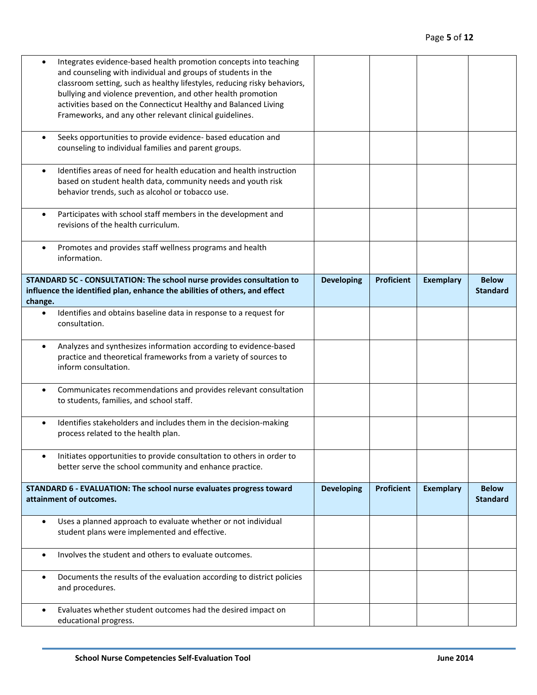| Integrates evidence-based health promotion concepts into teaching<br>and counseling with individual and groups of students in the<br>classroom setting, such as healthy lifestyles, reducing risky behaviors,<br>bullying and violence prevention, and other health promotion<br>activities based on the Connecticut Healthy and Balanced Living<br>Frameworks, and any other relevant clinical guidelines. |                   |                   |                  |                                 |
|-------------------------------------------------------------------------------------------------------------------------------------------------------------------------------------------------------------------------------------------------------------------------------------------------------------------------------------------------------------------------------------------------------------|-------------------|-------------------|------------------|---------------------------------|
|                                                                                                                                                                                                                                                                                                                                                                                                             |                   |                   |                  |                                 |
| Seeks opportunities to provide evidence- based education and<br>$\bullet$<br>counseling to individual families and parent groups.                                                                                                                                                                                                                                                                           |                   |                   |                  |                                 |
| Identifies areas of need for health education and health instruction<br>$\bullet$<br>based on student health data, community needs and youth risk<br>behavior trends, such as alcohol or tobacco use.                                                                                                                                                                                                       |                   |                   |                  |                                 |
| Participates with school staff members in the development and<br>$\bullet$<br>revisions of the health curriculum.                                                                                                                                                                                                                                                                                           |                   |                   |                  |                                 |
| Promotes and provides staff wellness programs and health<br>$\bullet$<br>information.                                                                                                                                                                                                                                                                                                                       |                   |                   |                  |                                 |
| STANDARD 5C - CONSULTATION: The school nurse provides consultation to<br>influence the identified plan, enhance the abilities of others, and effect<br>change.                                                                                                                                                                                                                                              | <b>Developing</b> | <b>Proficient</b> | <b>Exemplary</b> | <b>Below</b><br><b>Standard</b> |
| Identifies and obtains baseline data in response to a request for<br>$\bullet$<br>consultation.                                                                                                                                                                                                                                                                                                             |                   |                   |                  |                                 |
| Analyzes and synthesizes information according to evidence-based<br>$\bullet$<br>practice and theoretical frameworks from a variety of sources to<br>inform consultation.                                                                                                                                                                                                                                   |                   |                   |                  |                                 |
| Communicates recommendations and provides relevant consultation<br>٠<br>to students, families, and school staff.                                                                                                                                                                                                                                                                                            |                   |                   |                  |                                 |
| Identifies stakeholders and includes them in the decision-making<br>$\bullet$<br>process related to the health plan.                                                                                                                                                                                                                                                                                        |                   |                   |                  |                                 |
| Initiates opportunities to provide consultation to others in order to<br>٠<br>better serve the school community and enhance practice.                                                                                                                                                                                                                                                                       |                   |                   |                  |                                 |
| STANDARD 6 - EVALUATION: The school nurse evaluates progress toward<br>attainment of outcomes.                                                                                                                                                                                                                                                                                                              | <b>Developing</b> | <b>Proficient</b> | <b>Exemplary</b> | <b>Below</b><br><b>Standard</b> |
| Uses a planned approach to evaluate whether or not individual<br>$\bullet$<br>student plans were implemented and effective.                                                                                                                                                                                                                                                                                 |                   |                   |                  |                                 |
| Involves the student and others to evaluate outcomes.<br>$\bullet$                                                                                                                                                                                                                                                                                                                                          |                   |                   |                  |                                 |
| Documents the results of the evaluation according to district policies<br>٠<br>and procedures.                                                                                                                                                                                                                                                                                                              |                   |                   |                  |                                 |
| Evaluates whether student outcomes had the desired impact on<br>$\bullet$<br>educational progress.                                                                                                                                                                                                                                                                                                          |                   |                   |                  |                                 |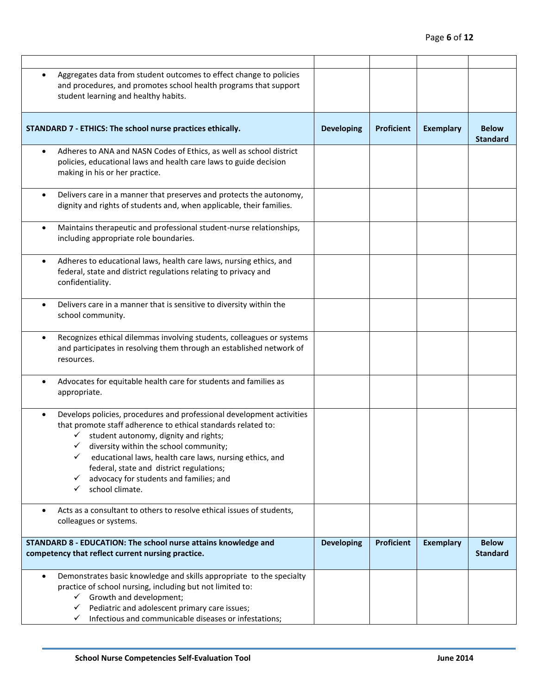| Aggregates data from student outcomes to effect change to policies<br>and procedures, and promotes school health programs that support<br>student learning and healthy habits.                                                                                                                                                                                                                                             |                   |                   |                  |                                 |
|----------------------------------------------------------------------------------------------------------------------------------------------------------------------------------------------------------------------------------------------------------------------------------------------------------------------------------------------------------------------------------------------------------------------------|-------------------|-------------------|------------------|---------------------------------|
| STANDARD 7 - ETHICS: The school nurse practices ethically.                                                                                                                                                                                                                                                                                                                                                                 | <b>Developing</b> | <b>Proficient</b> | <b>Exemplary</b> | <b>Below</b><br><b>Standard</b> |
| Adheres to ANA and NASN Codes of Ethics, as well as school district<br>$\bullet$<br>policies, educational laws and health care laws to guide decision<br>making in his or her practice.                                                                                                                                                                                                                                    |                   |                   |                  |                                 |
| Delivers care in a manner that preserves and protects the autonomy,<br>$\bullet$<br>dignity and rights of students and, when applicable, their families.                                                                                                                                                                                                                                                                   |                   |                   |                  |                                 |
| Maintains therapeutic and professional student-nurse relationships,<br>$\bullet$<br>including appropriate role boundaries.                                                                                                                                                                                                                                                                                                 |                   |                   |                  |                                 |
| Adheres to educational laws, health care laws, nursing ethics, and<br>$\bullet$<br>federal, state and district regulations relating to privacy and<br>confidentiality.                                                                                                                                                                                                                                                     |                   |                   |                  |                                 |
| Delivers care in a manner that is sensitive to diversity within the<br>$\bullet$<br>school community.                                                                                                                                                                                                                                                                                                                      |                   |                   |                  |                                 |
| Recognizes ethical dilemmas involving students, colleagues or systems<br>$\bullet$<br>and participates in resolving them through an established network of<br>resources.                                                                                                                                                                                                                                                   |                   |                   |                  |                                 |
| Advocates for equitable health care for students and families as<br>$\bullet$<br>appropriate.                                                                                                                                                                                                                                                                                                                              |                   |                   |                  |                                 |
| Develops policies, procedures and professional development activities<br>$\bullet$<br>that promote staff adherence to ethical standards related to:<br>student autonomy, dignity and rights;<br>✓<br>diversity within the school community;<br>educational laws, health care laws, nursing ethics, and<br>federal, state and district regulations;<br>advocacy for students and families; and<br>✓<br>school climate.<br>✓ |                   |                   |                  |                                 |
| Acts as a consultant to others to resolve ethical issues of students,<br>٠<br>colleagues or systems.                                                                                                                                                                                                                                                                                                                       |                   |                   |                  |                                 |
| STANDARD 8 - EDUCATION: The school nurse attains knowledge and<br>competency that reflect current nursing practice.                                                                                                                                                                                                                                                                                                        | <b>Developing</b> | <b>Proficient</b> | <b>Exemplary</b> | <b>Below</b><br><b>Standard</b> |
| Demonstrates basic knowledge and skills appropriate to the specialty<br>$\bullet$<br>practice of school nursing, including but not limited to:<br>$\checkmark$ Growth and development;<br>Pediatric and adolescent primary care issues;<br>✓<br>Infectious and communicable diseases or infestations;<br>✓                                                                                                                 |                   |                   |                  |                                 |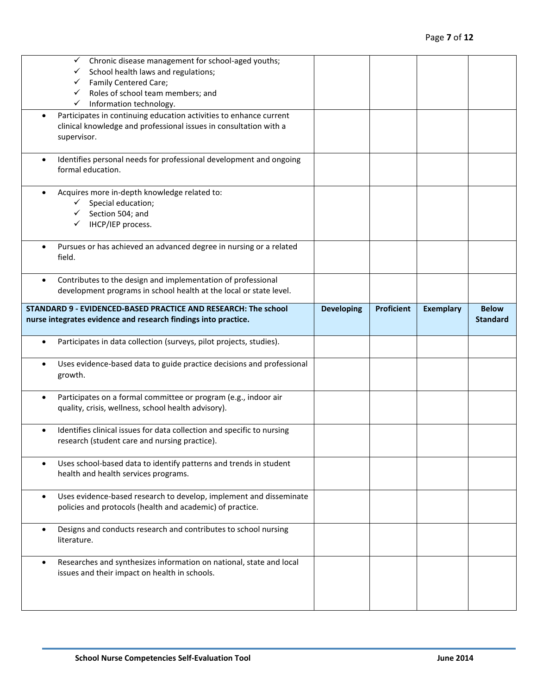|           | Chronic disease management for school-aged youths;<br>✓<br>School health laws and regulations;<br>Family Centered Care;<br>Roles of school team members; and<br>✓<br>Information technology.<br>✓ |                   |                   |                  |                                 |
|-----------|---------------------------------------------------------------------------------------------------------------------------------------------------------------------------------------------------|-------------------|-------------------|------------------|---------------------------------|
|           | Participates in continuing education activities to enhance current<br>clinical knowledge and professional issues in consultation with a<br>supervisor.                                            |                   |                   |                  |                                 |
| $\bullet$ | Identifies personal needs for professional development and ongoing<br>formal education.                                                                                                           |                   |                   |                  |                                 |
|           | Acquires more in-depth knowledge related to:<br>Special education;<br>Section 504; and<br>IHCP/IEP process.                                                                                       |                   |                   |                  |                                 |
|           | Pursues or has achieved an advanced degree in nursing or a related<br>field.                                                                                                                      |                   |                   |                  |                                 |
|           | Contributes to the design and implementation of professional<br>development programs in school health at the local or state level.                                                                |                   |                   |                  |                                 |
|           | STANDARD 9 - EVIDENCED-BASED PRACTICE AND RESEARCH: The school<br>nurse integrates evidence and research findings into practice.                                                                  | <b>Developing</b> | <b>Proficient</b> | <b>Exemplary</b> | <b>Below</b><br><b>Standard</b> |
| $\bullet$ | Participates in data collection (surveys, pilot projects, studies).                                                                                                                               |                   |                   |                  |                                 |
|           | Uses evidence-based data to guide practice decisions and professional<br>growth.                                                                                                                  |                   |                   |                  |                                 |
| $\bullet$ | Participates on a formal committee or program (e.g., indoor air<br>quality, crisis, wellness, school health advisory).                                                                            |                   |                   |                  |                                 |
|           |                                                                                                                                                                                                   |                   |                   |                  |                                 |
|           | Identifies clinical issues for data collection and specific to nursing<br>research (student care and nursing practice).                                                                           |                   |                   |                  |                                 |
| $\bullet$ | Uses school-based data to identify patterns and trends in student<br>health and health services programs.                                                                                         |                   |                   |                  |                                 |
| $\bullet$ | Uses evidence-based research to develop, implement and disseminate<br>policies and protocols (health and academic) of practice.                                                                   |                   |                   |                  |                                 |
| $\bullet$ | Designs and conducts research and contributes to school nursing<br>literature.                                                                                                                    |                   |                   |                  |                                 |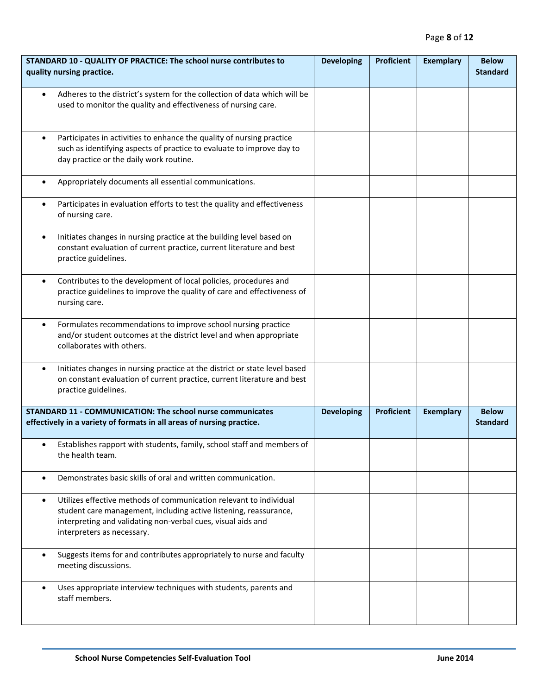| STANDARD 10 - QUALITY OF PRACTICE: The school nurse contributes to<br>quality nursing practice.                                                                                                                                                    | <b>Developing</b> | <b>Proficient</b> | <b>Exemplary</b> | <b>Below</b><br><b>Standard</b> |
|----------------------------------------------------------------------------------------------------------------------------------------------------------------------------------------------------------------------------------------------------|-------------------|-------------------|------------------|---------------------------------|
| Adheres to the district's system for the collection of data which will be<br>$\bullet$<br>used to monitor the quality and effectiveness of nursing care.                                                                                           |                   |                   |                  |                                 |
| Participates in activities to enhance the quality of nursing practice<br>$\bullet$<br>such as identifying aspects of practice to evaluate to improve day to<br>day practice or the daily work routine.                                             |                   |                   |                  |                                 |
| Appropriately documents all essential communications.<br>$\bullet$                                                                                                                                                                                 |                   |                   |                  |                                 |
| Participates in evaluation efforts to test the quality and effectiveness<br>$\bullet$<br>of nursing care.                                                                                                                                          |                   |                   |                  |                                 |
| Initiates changes in nursing practice at the building level based on<br>$\bullet$<br>constant evaluation of current practice, current literature and best<br>practice guidelines.                                                                  |                   |                   |                  |                                 |
| Contributes to the development of local policies, procedures and<br>$\bullet$<br>practice guidelines to improve the quality of care and effectiveness of<br>nursing care.                                                                          |                   |                   |                  |                                 |
| Formulates recommendations to improve school nursing practice<br>$\bullet$<br>and/or student outcomes at the district level and when appropriate<br>collaborates with others.                                                                      |                   |                   |                  |                                 |
| Initiates changes in nursing practice at the district or state level based<br>$\bullet$<br>on constant evaluation of current practice, current literature and best<br>practice guidelines.                                                         |                   |                   |                  |                                 |
| <b>STANDARD 11 - COMMUNICATION: The school nurse communicates</b><br>effectively in a variety of formats in all areas of nursing practice.                                                                                                         | <b>Developing</b> | <b>Proficient</b> | <b>Exemplary</b> | <b>Below</b><br><b>Standard</b> |
| Establishes rapport with students, family, school staff and members of<br>$\bullet$<br>the health team.                                                                                                                                            |                   |                   |                  |                                 |
| Demonstrates basic skills of oral and written communication.<br>$\bullet$                                                                                                                                                                          |                   |                   |                  |                                 |
| Utilizes effective methods of communication relevant to individual<br>$\bullet$<br>student care management, including active listening, reassurance,<br>interpreting and validating non-verbal cues, visual aids and<br>interpreters as necessary. |                   |                   |                  |                                 |
| Suggests items for and contributes appropriately to nurse and faculty<br>$\bullet$<br>meeting discussions.                                                                                                                                         |                   |                   |                  |                                 |
| Uses appropriate interview techniques with students, parents and<br>$\bullet$<br>staff members.                                                                                                                                                    |                   |                   |                  |                                 |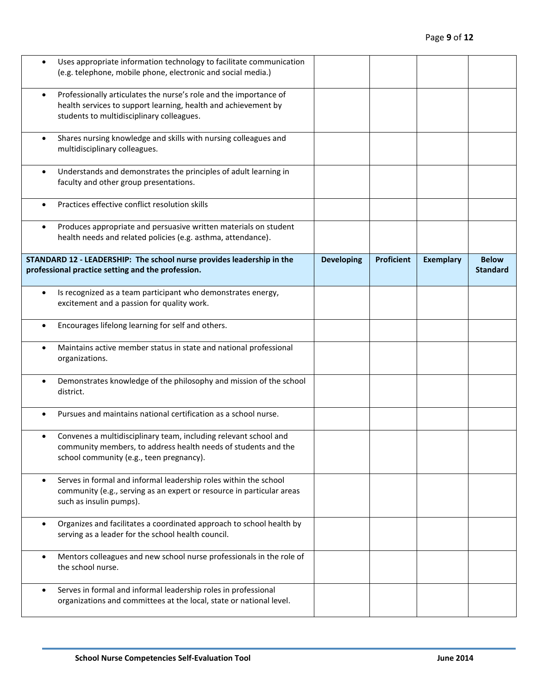| Uses appropriate information technology to facilitate communication<br>$\bullet$<br>(e.g. telephone, mobile phone, electronic and social media.)                                              |                   |                   |                  |                                 |
|-----------------------------------------------------------------------------------------------------------------------------------------------------------------------------------------------|-------------------|-------------------|------------------|---------------------------------|
| Professionally articulates the nurse's role and the importance of<br>$\bullet$<br>health services to support learning, health and achievement by<br>students to multidisciplinary colleagues. |                   |                   |                  |                                 |
| Shares nursing knowledge and skills with nursing colleagues and<br>$\bullet$<br>multidisciplinary colleagues.                                                                                 |                   |                   |                  |                                 |
| Understands and demonstrates the principles of adult learning in<br>$\bullet$<br>faculty and other group presentations.                                                                       |                   |                   |                  |                                 |
| Practices effective conflict resolution skills<br>$\bullet$                                                                                                                                   |                   |                   |                  |                                 |
| Produces appropriate and persuasive written materials on student<br>$\bullet$<br>health needs and related policies (e.g. asthma, attendance).                                                 |                   |                   |                  |                                 |
| STANDARD 12 - LEADERSHIP: The school nurse provides leadership in the<br>professional practice setting and the profession.                                                                    | <b>Developing</b> | <b>Proficient</b> | <b>Exemplary</b> | <b>Below</b><br><b>Standard</b> |
| Is recognized as a team participant who demonstrates energy,<br>$\bullet$<br>excitement and a passion for quality work.                                                                       |                   |                   |                  |                                 |
| Encourages lifelong learning for self and others.<br>$\bullet$                                                                                                                                |                   |                   |                  |                                 |
| Maintains active member status in state and national professional<br>$\bullet$<br>organizations.                                                                                              |                   |                   |                  |                                 |
| Demonstrates knowledge of the philosophy and mission of the school<br>$\bullet$<br>district.                                                                                                  |                   |                   |                  |                                 |
| Pursues and maintains national certification as a school nurse.<br>$\bullet$                                                                                                                  |                   |                   |                  |                                 |
| Convenes a multidisciplinary team, including relevant school and<br>community members, to address health needs of students and the<br>school community (e.g., teen pregnancy).                |                   |                   |                  |                                 |
| Serves in formal and informal leadership roles within the school<br>$\bullet$<br>community (e.g., serving as an expert or resource in particular areas<br>such as insulin pumps).             |                   |                   |                  |                                 |
| Organizes and facilitates a coordinated approach to school health by<br>$\bullet$<br>serving as a leader for the school health council.                                                       |                   |                   |                  |                                 |
| Mentors colleagues and new school nurse professionals in the role of<br>$\bullet$<br>the school nurse.                                                                                        |                   |                   |                  |                                 |
| Serves in formal and informal leadership roles in professional<br>$\bullet$<br>organizations and committees at the local, state or national level.                                            |                   |                   |                  |                                 |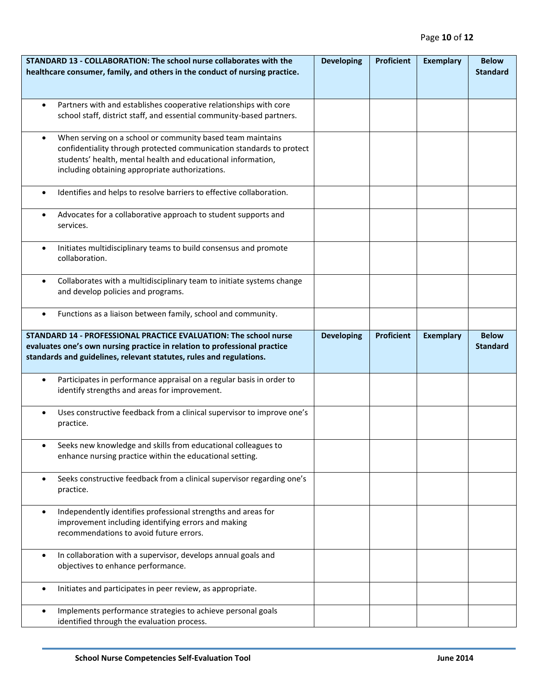| STANDARD 13 - COLLABORATION: The school nurse collaborates with the<br>healthcare consumer, family, and others in the conduct of nursing practice.                                                                                                                 | <b>Developing</b> | <b>Proficient</b> | <b>Exemplary</b> | <b>Below</b><br><b>Standard</b> |
|--------------------------------------------------------------------------------------------------------------------------------------------------------------------------------------------------------------------------------------------------------------------|-------------------|-------------------|------------------|---------------------------------|
|                                                                                                                                                                                                                                                                    |                   |                   |                  |                                 |
| Partners with and establishes cooperative relationships with core<br>$\bullet$<br>school staff, district staff, and essential community-based partners.                                                                                                            |                   |                   |                  |                                 |
| When serving on a school or community based team maintains<br>$\bullet$<br>confidentiality through protected communication standards to protect<br>students' health, mental health and educational information,<br>including obtaining appropriate authorizations. |                   |                   |                  |                                 |
| Identifies and helps to resolve barriers to effective collaboration.<br>$\bullet$                                                                                                                                                                                  |                   |                   |                  |                                 |
| Advocates for a collaborative approach to student supports and<br>$\bullet$<br>services.                                                                                                                                                                           |                   |                   |                  |                                 |
| Initiates multidisciplinary teams to build consensus and promote<br>$\bullet$<br>collaboration.                                                                                                                                                                    |                   |                   |                  |                                 |
| Collaborates with a multidisciplinary team to initiate systems change<br>$\bullet$<br>and develop policies and programs.                                                                                                                                           |                   |                   |                  |                                 |
| Functions as a liaison between family, school and community.<br>$\bullet$                                                                                                                                                                                          |                   |                   |                  |                                 |
| STANDARD 14 - PROFESSIONAL PRACTICE EVALUATION: The school nurse<br>evaluates one's own nursing practice in relation to professional practice<br>standards and guidelines, relevant statutes, rules and regulations.                                               | <b>Developing</b> | <b>Proficient</b> | <b>Exemplary</b> | <b>Below</b><br><b>Standard</b> |
| Participates in performance appraisal on a regular basis in order to<br>$\bullet$<br>identify strengths and areas for improvement.                                                                                                                                 |                   |                   |                  |                                 |
| Uses constructive feedback from a clinical supervisor to improve one's<br>$\bullet$<br>practice.                                                                                                                                                                   |                   |                   |                  |                                 |
| Seeks new knowledge and skills from educational colleagues to<br>enhance nursing practice within the educational setting.                                                                                                                                          |                   |                   |                  |                                 |
| Seeks constructive feedback from a clinical supervisor regarding one's<br>$\bullet$<br>practice.                                                                                                                                                                   |                   |                   |                  |                                 |
| Independently identifies professional strengths and areas for<br>$\bullet$<br>improvement including identifying errors and making<br>recommendations to avoid future errors.                                                                                       |                   |                   |                  |                                 |
| In collaboration with a supervisor, develops annual goals and<br>$\bullet$<br>objectives to enhance performance.                                                                                                                                                   |                   |                   |                  |                                 |
| Initiates and participates in peer review, as appropriate.<br>$\bullet$                                                                                                                                                                                            |                   |                   |                  |                                 |
| Implements performance strategies to achieve personal goals<br>$\bullet$<br>identified through the evaluation process.                                                                                                                                             |                   |                   |                  |                                 |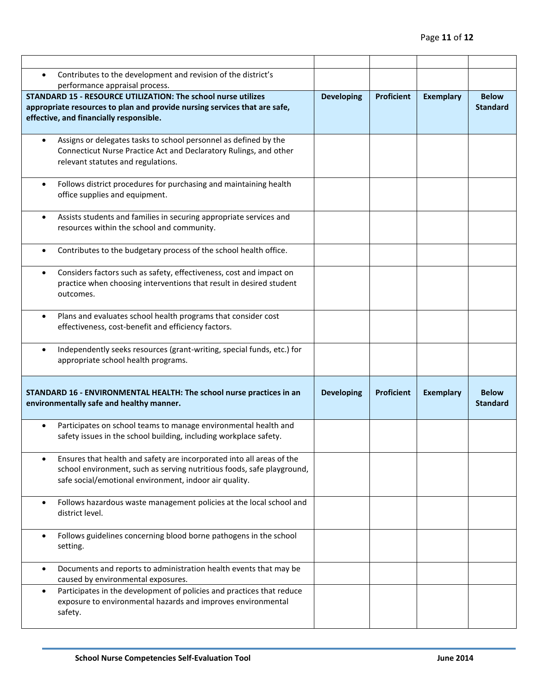| Contributes to the development and revision of the district's<br>$\bullet$                                                                                                                                             |                   |                   |                  |                                 |
|------------------------------------------------------------------------------------------------------------------------------------------------------------------------------------------------------------------------|-------------------|-------------------|------------------|---------------------------------|
| performance appraisal process.                                                                                                                                                                                         |                   |                   |                  |                                 |
| <b>STANDARD 15 - RESOURCE UTILIZATION: The school nurse utilizes</b><br>appropriate resources to plan and provide nursing services that are safe,<br>effective, and financially responsible.                           | <b>Developing</b> | <b>Proficient</b> | <b>Exemplary</b> | <b>Below</b><br><b>Standard</b> |
| Assigns or delegates tasks to school personnel as defined by the<br>$\bullet$<br>Connecticut Nurse Practice Act and Declaratory Rulings, and other<br>relevant statutes and regulations.                               |                   |                   |                  |                                 |
| Follows district procedures for purchasing and maintaining health<br>$\bullet$<br>office supplies and equipment.                                                                                                       |                   |                   |                  |                                 |
| Assists students and families in securing appropriate services and<br>$\bullet$<br>resources within the school and community.                                                                                          |                   |                   |                  |                                 |
| Contributes to the budgetary process of the school health office.<br>$\bullet$                                                                                                                                         |                   |                   |                  |                                 |
| Considers factors such as safety, effectiveness, cost and impact on<br>$\bullet$<br>practice when choosing interventions that result in desired student<br>outcomes.                                                   |                   |                   |                  |                                 |
| Plans and evaluates school health programs that consider cost<br>$\bullet$<br>effectiveness, cost-benefit and efficiency factors.                                                                                      |                   |                   |                  |                                 |
| Independently seeks resources (grant-writing, special funds, etc.) for<br>$\bullet$<br>appropriate school health programs.                                                                                             |                   |                   |                  |                                 |
| STANDARD 16 - ENVIRONMENTAL HEALTH: The school nurse practices in an<br>environmentally safe and healthy manner.                                                                                                       | <b>Developing</b> | <b>Proficient</b> | <b>Exemplary</b> | <b>Below</b><br><b>Standard</b> |
| Participates on school teams to manage environmental health and<br>$\bullet$<br>safety issues in the school building, including workplace safety.                                                                      |                   |                   |                  |                                 |
| Ensures that health and safety are incorporated into all areas of the<br>$\bullet$<br>school environment, such as serving nutritious foods, safe playground,<br>safe social/emotional environment, indoor air quality. |                   |                   |                  |                                 |
| Follows hazardous waste management policies at the local school and<br>$\bullet$<br>district level.                                                                                                                    |                   |                   |                  |                                 |
| Follows guidelines concerning blood borne pathogens in the school<br>$\bullet$<br>setting.                                                                                                                             |                   |                   |                  |                                 |
| Documents and reports to administration health events that may be<br>$\bullet$<br>caused by environmental exposures.                                                                                                   |                   |                   |                  |                                 |
| Participates in the development of policies and practices that reduce<br>$\bullet$<br>exposure to environmental hazards and improves environmental<br>safety.                                                          |                   |                   |                  |                                 |